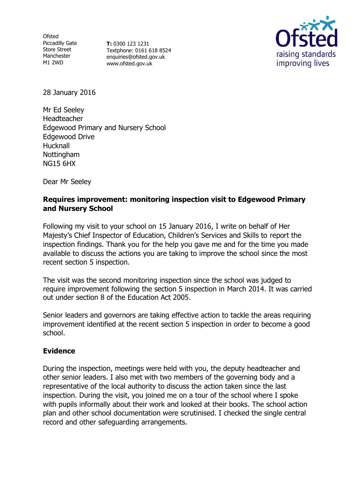**Ofsted** Piccadilly Gate Store Street Manchester M1 2WD

**T:** 0300 123 1231 Textphone: 0161 618 8524 enquiries@ofsted.gov.uk www.ofsted.gov.uk



28 January 2016

Mr Ed Seeley Headteacher Edgewood Primary and Nursery School Edgewood Drive Hucknall **Nottingham** NG15 6HX

Dear Mr Seeley

## **Requires improvement: monitoring inspection visit to Edgewood Primary and Nursery School**

Following my visit to your school on 15 January 2016, I write on behalf of Her Majesty's Chief Inspector of Education, Children's Services and Skills to report the inspection findings. Thank you for the help you gave me and for the time you made available to discuss the actions you are taking to improve the school since the most recent section 5 inspection.

The visit was the second monitoring inspection since the school was judged to require improvement following the section 5 inspection in March 2014. It was carried out under section 8 of the Education Act 2005.

Senior leaders and governors are taking effective action to tackle the areas requiring improvement identified at the recent section 5 inspection in order to become a good school.

## **Evidence**

During the inspection, meetings were held with you, the deputy headteacher and other senior leaders. I also met with two members of the governing body and a representative of the local authority to discuss the action taken since the last inspection. During the visit, you joined me on a tour of the school where I spoke with pupils informally about their work and looked at their books. The school action plan and other school documentation were scrutinised. I checked the single central record and other safeguarding arrangements.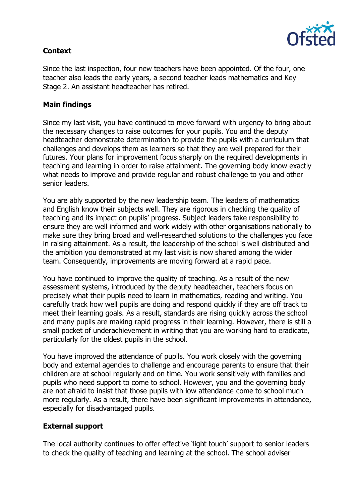

# **Context**

Since the last inspection, four new teachers have been appointed. Of the four, one teacher also leads the early years, a second teacher leads mathematics and Key Stage 2. An assistant headteacher has retired.

## **Main findings**

Since my last visit, you have continued to move forward with urgency to bring about the necessary changes to raise outcomes for your pupils. You and the deputy headteacher demonstrate determination to provide the pupils with a curriculum that challenges and develops them as learners so that they are well prepared for their futures. Your plans for improvement focus sharply on the required developments in teaching and learning in order to raise attainment. The governing body know exactly what needs to improve and provide regular and robust challenge to you and other senior leaders.

You are ably supported by the new leadership team. The leaders of mathematics and English know their subjects well. They are rigorous in checking the quality of teaching and its impact on pupils' progress. Subject leaders take responsibility to ensure they are well informed and work widely with other organisations nationally to make sure they bring broad and well-researched solutions to the challenges you face in raising attainment. As a result, the leadership of the school is well distributed and the ambition you demonstrated at my last visit is now shared among the wider team. Consequently, improvements are moving forward at a rapid pace.

You have continued to improve the quality of teaching. As a result of the new assessment systems, introduced by the deputy headteacher, teachers focus on precisely what their pupils need to learn in mathematics, reading and writing. You carefully track how well pupils are doing and respond quickly if they are off track to meet their learning goals. As a result, standards are rising quickly across the school and many pupils are making rapid progress in their learning. However, there is still a small pocket of underachievement in writing that you are working hard to eradicate, particularly for the oldest pupils in the school.

You have improved the attendance of pupils. You work closely with the governing body and external agencies to challenge and encourage parents to ensure that their children are at school regularly and on time. You work sensitively with families and pupils who need support to come to school. However, you and the governing body are not afraid to insist that those pupils with low attendance come to school much more regularly. As a result, there have been significant improvements in attendance, especially for disadvantaged pupils.

## **External support**

The local authority continues to offer effective 'light touch' support to senior leaders to check the quality of teaching and learning at the school. The school adviser